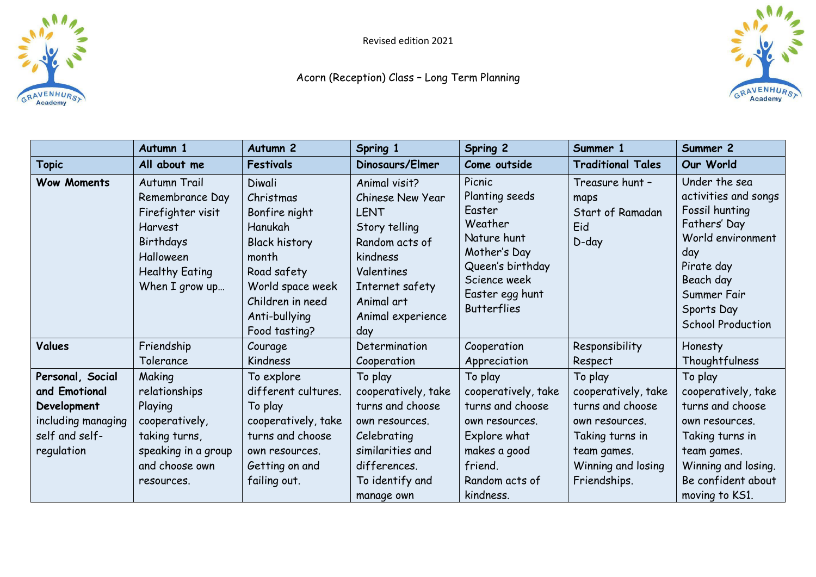

Revised edition 2021

## Acorn (Reception) Class – Long Term Planning



|                                                                                                        | Autumn 1                                                                                                                                    | Autumn <sub>2</sub>                                                                                                                                                       | Spring 1                                                                                                                                                                   | Spring 2                                                                                                                                                  | Summer 1                                                                                                                                     | Summer 2                                                                                                                                                                                |
|--------------------------------------------------------------------------------------------------------|---------------------------------------------------------------------------------------------------------------------------------------------|---------------------------------------------------------------------------------------------------------------------------------------------------------------------------|----------------------------------------------------------------------------------------------------------------------------------------------------------------------------|-----------------------------------------------------------------------------------------------------------------------------------------------------------|----------------------------------------------------------------------------------------------------------------------------------------------|-----------------------------------------------------------------------------------------------------------------------------------------------------------------------------------------|
| <b>Topic</b>                                                                                           | All about me                                                                                                                                | <b>Festivals</b>                                                                                                                                                          | Dinosaurs/Elmer                                                                                                                                                            | Come outside                                                                                                                                              | <b>Traditional Tales</b>                                                                                                                     | Our World                                                                                                                                                                               |
| <b>Wow Moments</b>                                                                                     | Autumn Trail<br>Remembrance Day<br>Firefighter visit<br><b>Harvest</b><br>Birthdays<br>Halloween<br><b>Healthy Eating</b><br>When I grow up | Diwali<br>Christmas<br>Bonfire night<br>Hanukah<br><b>Black history</b><br>month<br>Road safety<br>World space week<br>Children in need<br>Anti-bullying<br>Food tasting? | Animal visit?<br>Chinese New Year<br><b>LENT</b><br>Story telling<br>Random acts of<br>kindness<br>Valentines<br>Internet safety<br>Animal art<br>Animal experience<br>day | Picnic<br>Planting seeds<br>Easter<br>Weather<br>Nature hunt<br>Mother's Day<br>Queen's birthday<br>Science week<br>Easter egg hunt<br><b>Butterflies</b> | Treasure hunt -<br>maps<br>Start of Ramadan<br>Eid<br>$D$ -day                                                                               | Under the sea<br>activities and songs<br>Fossil hunting<br>Fathers' Day<br>World environment<br>day<br>Pirate day<br>Beach day<br>Summer Fair<br>Sports Day<br><b>School Production</b> |
| Values                                                                                                 | Friendship<br>Tolerance                                                                                                                     | Courage<br>Kindness                                                                                                                                                       | Determination<br>Cooperation                                                                                                                                               | Cooperation<br>Appreciation                                                                                                                               | Responsibility<br>Respect                                                                                                                    | Honesty<br>Thoughtfulness                                                                                                                                                               |
| Personal, Social<br>and Emotional<br>Development<br>including managing<br>self and self-<br>regulation | Making<br>relationships<br>Playing<br>cooperatively,<br>taking turns,<br>speaking in a group<br>and choose own<br>resources.                | To explore<br>different cultures.<br>To play<br>cooperatively, take<br>turns and choose<br>own resources.<br>Getting on and<br>failing out.                               | To play<br>cooperatively, take<br>turns and choose<br>own resources.<br>Celebrating<br>similarities and<br>differences.<br>To identify and<br>manage own                   | To play<br>cooperatively, take<br>turns and choose<br>own resources.<br>Explore what<br>makes a good<br>friend.<br>Random acts of<br>kindness.            | To play<br>cooperatively, take<br>turns and choose<br>own resources.<br>Taking turns in<br>team games.<br>Winning and losing<br>Friendships. | To play<br>cooperatively, take<br>turns and choose<br>own resources.<br>Taking turns in<br>team games.<br>Winning and losing.<br>Be confident about<br>moving to KS1.                   |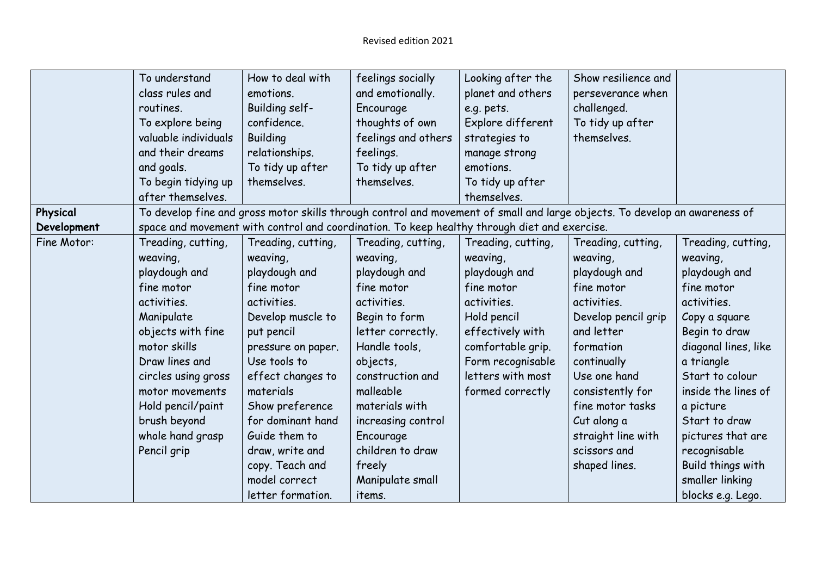|             | To understand        | How to deal with   | feelings socially                                                                                                          | Looking after the  | Show resilience and |                      |
|-------------|----------------------|--------------------|----------------------------------------------------------------------------------------------------------------------------|--------------------|---------------------|----------------------|
|             | class rules and      | emotions.          | and emotionally.                                                                                                           | planet and others  | perseverance when   |                      |
|             | routines.            | Building self-     | Encourage                                                                                                                  | e.g. pets.         | challenged.         |                      |
|             | To explore being     | confidence.        | thoughts of own                                                                                                            | Explore different  | To tidy up after    |                      |
|             | valuable individuals | <b>Building</b>    | feelings and others                                                                                                        | strategies to      | themselves.         |                      |
|             | and their dreams     | relationships.     | feelings.                                                                                                                  | manage strong      |                     |                      |
|             | and goals.           | To tidy up after   | To tidy up after                                                                                                           | emotions.          |                     |                      |
|             | To begin tidying up  | themselves.        | themselves.                                                                                                                | To tidy up after   |                     |                      |
|             | after themselves.    |                    |                                                                                                                            | themselves.        |                     |                      |
| Physical    |                      |                    | To develop fine and gross motor skills through control and movement of small and large objects. To develop an awareness of |                    |                     |                      |
| Development |                      |                    | space and movement with control and coordination. To keep healthy through diet and exercise.                               |                    |                     |                      |
| Fine Motor: | Treading, cutting,   | Treading, cutting, | Treading, cutting,                                                                                                         | Treading, cutting, | Treading, cutting,  | Treading, cutting,   |
|             | weaving,             | weaving,           | weaving,                                                                                                                   | weaving,           | weaving,            | weaving,             |
|             | playdough and        | playdough and      | playdough and                                                                                                              | playdough and      | playdough and       | playdough and        |
|             | fine motor           | fine motor         | fine motor                                                                                                                 | fine motor         | fine motor          | fine motor           |
|             | activities.          | activities.        | activities.                                                                                                                | activities.        | activities.         | activities.          |
|             | Manipulate           | Develop muscle to  | Begin to form                                                                                                              | Hold pencil        | Develop pencil grip | Copy a square        |
|             | objects with fine    | put pencil         | letter correctly.                                                                                                          | effectively with   | and letter          | Begin to draw        |
|             | motor skills         | pressure on paper. | Handle tools,                                                                                                              | comfortable grip.  | formation           | diagonal lines, like |
|             | Draw lines and       | Use tools to       | objects,                                                                                                                   | Form recognisable  | continually         | a triangle           |
|             | circles using gross  | effect changes to  | construction and                                                                                                           | letters with most  | Use one hand        | Start to colour      |
|             | motor movements      | materials          | malleable                                                                                                                  | formed correctly   | consistently for    | inside the lines of  |
|             | Hold pencil/paint    | Show preference    | materials with                                                                                                             |                    | fine motor tasks    | a picture            |
|             | brush beyond         | for dominant hand  | increasing control                                                                                                         |                    | Cut along a         | Start to draw        |
|             | whole hand grasp     | Guide them to      | Encourage                                                                                                                  |                    | straight line with  | pictures that are    |
|             | Pencil grip          | draw, write and    | children to draw                                                                                                           |                    | scissors and        | recognisable         |
|             |                      | copy. Teach and    | freely                                                                                                                     |                    | shaped lines.       | Build things with    |
|             |                      | model correct      | Manipulate small                                                                                                           |                    |                     | smaller linking      |
|             |                      | letter formation.  | items.                                                                                                                     |                    |                     | blocks e.g. Lego.    |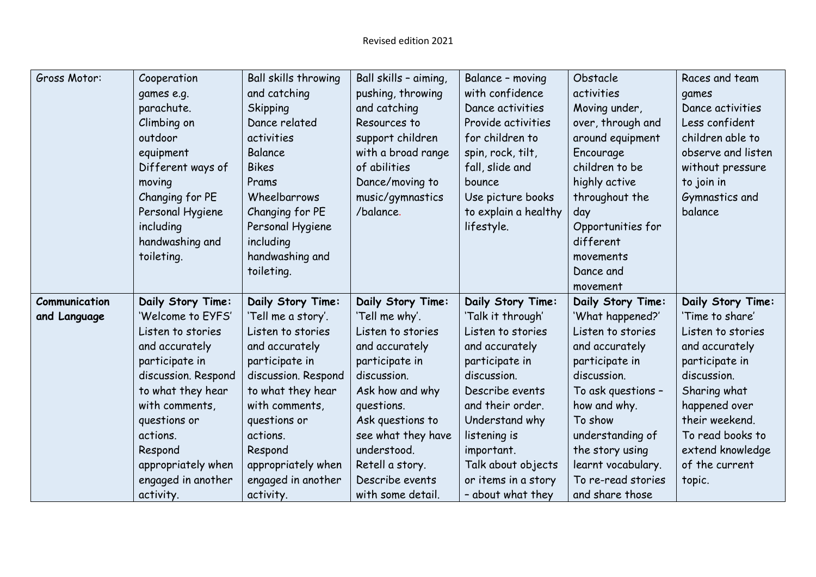| Gross Motor:  | Cooperation         | Ball skills throwing | Ball skills - aiming, | Balance - moving     | Obstacle           | Races and team     |
|---------------|---------------------|----------------------|-----------------------|----------------------|--------------------|--------------------|
|               | games e.g.          | and catching         | pushing, throwing     | with confidence      | activities         | games              |
|               | parachute.          | <b>Skipping</b>      | and catching          | Dance activities     | Moving under,      | Dance activities   |
|               | Climbing on         | Dance related        | Resources to          | Provide activities   | over, through and  | Less confident     |
|               | outdoor             | activities           | support children      | for children to      | around equipment   | children able to   |
|               | equipment           | Balance              | with a broad range    | spin, rock, tilt,    | Encourage          | observe and listen |
|               | Different ways of   | <b>Bikes</b>         | of abilities          | fall, slide and      | children to be     | without pressure   |
|               | moving              | Prams                | Dance/moving to       | bounce               | highly active      | to join in         |
|               | Changing for PE     | Wheelbarrows         | music/gymnastics      | Use picture books    | throughout the     | Gymnastics and     |
|               | Personal Hygiene    | Changing for PE      | /balance.             | to explain a healthy | day                | balance            |
|               | including           | Personal Hygiene     |                       | lifestyle.           | Opportunities for  |                    |
|               | handwashing and     | including            |                       |                      | different          |                    |
|               | toileting.          | handwashing and      |                       |                      | movements          |                    |
|               |                     | toileting.           |                       |                      | Dance and          |                    |
|               |                     |                      |                       |                      | movement           |                    |
| Communication | Daily Story Time:   | Daily Story Time:    | Daily Story Time:     | Daily Story Time:    | Daily Story Time:  | Daily Story Time:  |
| and Language  | 'Welcome to EYFS'   | 'Tell me a story'.   | 'Tell me why'.        | 'Talk it through'    | 'What happened?'   | 'Time to share'    |
|               | Listen to stories   | Listen to stories    | Listen to stories     | Listen to stories    | Listen to stories  | Listen to stories  |
|               | and accurately      | and accurately       | and accurately        | and accurately       | and accurately     | and accurately     |
|               | participate in      | participate in       | participate in        | participate in       | participate in     | participate in     |
|               | discussion. Respond | discussion. Respond  | discussion.           | discussion.          | discussion.        | discussion.        |
|               | to what they hear   | to what they hear    | Ask how and why       | Describe events      | To ask questions - | Sharing what       |
|               | with comments,      | with comments,       | questions.            | and their order.     | how and why.       | happened over      |
|               | questions or        | questions or         | Ask questions to      | Understand why       | To show            | their weekend.     |
|               | actions.            | actions.             | see what they have    | listening is         | understanding of   | To read books to   |
|               | Respond             | Respond              | understood.           | important.           | the story using    | extend knowledge   |
|               | appropriately when  | appropriately when   | Retell a story.       | Talk about objects   | learnt vocabulary. | of the current     |
|               | engaged in another  | engaged in another   | Describe events       | or items in a story  | To re-read stories | topic.             |
|               | activity.           | activity.            | with some detail.     | - about what they    | and share those    |                    |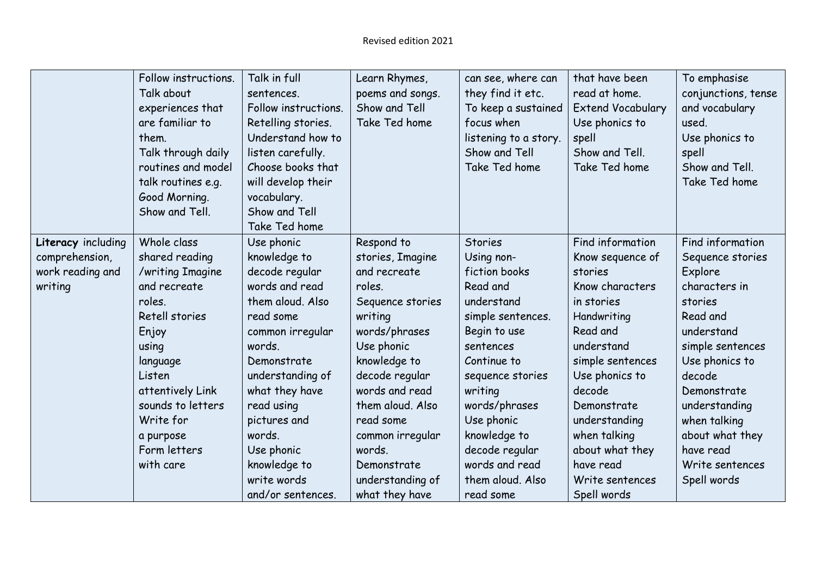|                    | Follow instructions. | Talk in full         | Learn Rhymes,    | can see, where can    | that have been           | To emphasise        |
|--------------------|----------------------|----------------------|------------------|-----------------------|--------------------------|---------------------|
|                    | Talk about           | sentences.           | poems and songs. | they find it etc.     | read at home.            | conjunctions, tense |
|                    | experiences that     | Follow instructions. | Show and Tell    | To keep a sustained   | <b>Extend Vocabulary</b> | and vocabulary      |
|                    | are familiar to      | Retelling stories.   | Take Ted home    | focus when            | Use phonics to           | used.               |
|                    | them.                | Understand how to    |                  | listening to a story. | spell                    | Use phonics to      |
|                    | Talk through daily   | listen carefully.    |                  | Show and Tell         | Show and Tell.           | spell               |
|                    | routines and model   | Choose books that    |                  | Take Ted home         | Take Ted home            | Show and Tell.      |
|                    | talk routines e.g.   | will develop their   |                  |                       |                          | Take Ted home       |
|                    | Good Morning.        | vocabulary.          |                  |                       |                          |                     |
|                    | Show and Tell.       | Show and Tell        |                  |                       |                          |                     |
|                    |                      | Take Ted home        |                  |                       |                          |                     |
| Literacy including | Whole class          | Use phonic           | Respond to       | <b>Stories</b>        | Find information         | Find information    |
| comprehension,     | shared reading       | knowledge to         | stories, Imagine | Using non-            | Know sequence of         | Sequence stories    |
| work reading and   | /writing Imagine     | decode regular       | and recreate     | fiction books         | stories                  | Explore             |
| writing            | and recreate         | words and read       | roles.           | Read and              | Know characters          | characters in       |
|                    | roles.               | them aloud. Also     | Sequence stories | understand            | in stories               | stories             |
|                    | Retell stories       | read some            | writing          | simple sentences.     | Handwriting              | Read and            |
|                    | Enjoy                | common irregular     | words/phrases    | Begin to use          | Read and                 | understand          |
|                    | using                | words.               | Use phonic       | sentences             | understand               | simple sentences    |
|                    | language             | Demonstrate          | knowledge to     | Continue to           | simple sentences         | Use phonics to      |
|                    | Listen               | understanding of     | decode regular   | sequence stories      | Use phonics to           | decode              |
|                    | attentively Link     | what they have       | words and read   | writing               | decode                   | Demonstrate         |
|                    | sounds to letters    | read using           | them aloud. Also | words/phrases         | Demonstrate              | understanding       |
|                    | Write for            | pictures and         | read some        | Use phonic            | understanding            | when talking        |
|                    | a purpose            | words.               | common irregular | knowledge to          | when talking             | about what they     |
|                    | Form letters         | Use phonic           | words.           | decode regular        | about what they          | have read           |
|                    | with care            | knowledge to         | Demonstrate      | words and read        | have read                | Write sentences     |
|                    |                      | write words          | understanding of | them aloud. Also      | Write sentences          | Spell words         |
|                    |                      | and/or sentences.    | what they have   | read some             | Spell words              |                     |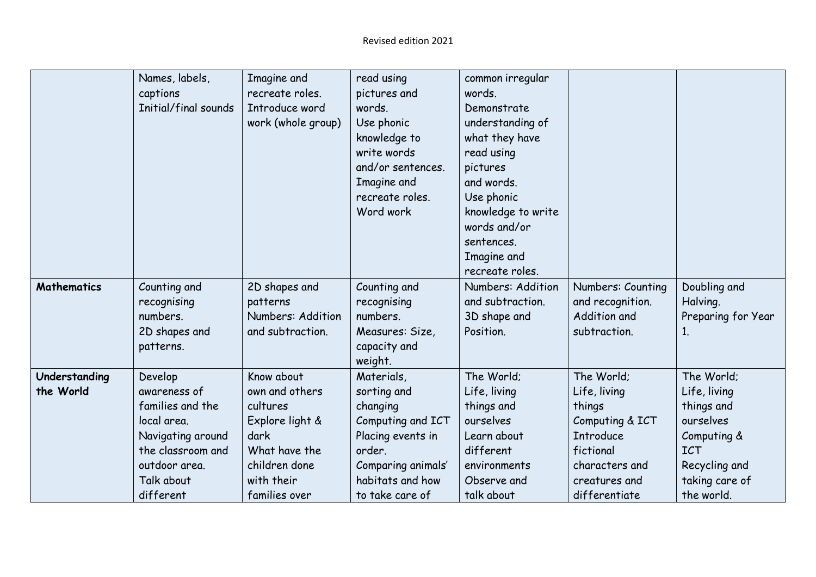|                    | Names, labels,       | Imagine and        | read using         | common irregular   |                   |                    |
|--------------------|----------------------|--------------------|--------------------|--------------------|-------------------|--------------------|
|                    | captions             | recreate roles.    | pictures and       | words.             |                   |                    |
|                    | Initial/final sounds | Introduce word     | words.             | Demonstrate        |                   |                    |
|                    |                      | work (whole group) | Use phonic         | understanding of   |                   |                    |
|                    |                      |                    | knowledge to       | what they have     |                   |                    |
|                    |                      |                    | write words        | read using         |                   |                    |
|                    |                      |                    | and/or sentences.  | pictures           |                   |                    |
|                    |                      |                    | Imagine and        | and words.         |                   |                    |
|                    |                      |                    | recreate roles.    | Use phonic         |                   |                    |
|                    |                      |                    | Word work          | knowledge to write |                   |                    |
|                    |                      |                    |                    | words and/or       |                   |                    |
|                    |                      |                    |                    | sentences.         |                   |                    |
|                    |                      |                    |                    | Imagine and        |                   |                    |
|                    |                      |                    |                    | recreate roles.    |                   |                    |
| <b>Mathematics</b> | Counting and         | 2D shapes and      | Counting and       | Numbers: Addition  | Numbers: Counting | Doubling and       |
|                    | recognising          | patterns           | recognising        | and subtraction.   | and recognition.  | Halving.           |
|                    | numbers.             | Numbers: Addition  | numbers.           | 3D shape and       | Addition and      | Preparing for Year |
|                    | 2D shapes and        | and subtraction.   | Measures: Size,    | Position.          | subtraction.      | 1.                 |
|                    | patterns.            |                    | capacity and       |                    |                   |                    |
|                    |                      |                    | weight.            |                    |                   |                    |
| Understanding      | Develop              | Know about         | Materials,         | The World:         | The World;        | The World;         |
| the World          | awareness of         | own and others     | sorting and        | Life, living       | Life, living      | Life, living       |
|                    | families and the     | cultures           | changing           | things and         | things            | things and         |
|                    | local area.          | Explore light &    | Computing and ICT  | ourselves          | Computing & ICT   | ourselves          |
|                    | Navigating around    | dark               | Placing events in  | Learn about        | <b>Introduce</b>  | Computing &        |
|                    | the classroom and    | What have the      | order.             | different          | fictional         | <b>ICT</b>         |
|                    | outdoor area.        | children done      | Comparing animals' | environments       | characters and    | Recycling and      |
|                    | Talk about           | with their         | habitats and how   | Observe and        | creatures and     | taking care of     |
|                    | different            | families over      | to take care of    | talk about         | differentiate     | the world.         |